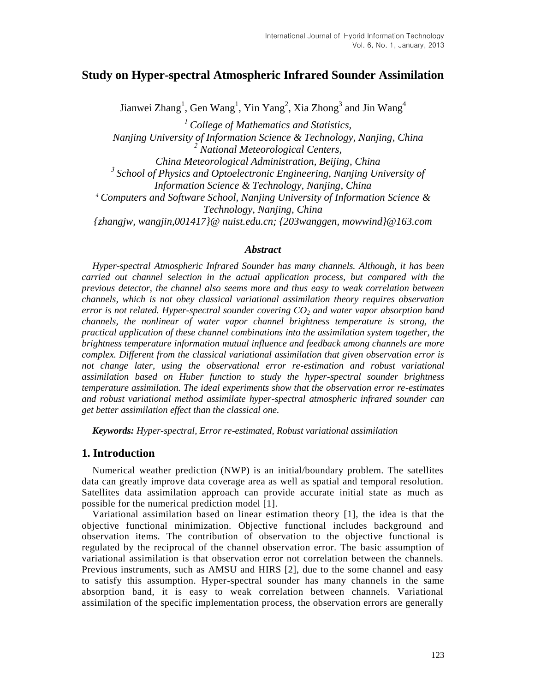# **Study on Hyper-spectral Atmospheric Infrared Sounder Assimilation**

Jianwei Zhang<sup>1</sup>, Gen Wang<sup>1</sup>, Yin Yang<sup>2</sup>, Xia Zhong<sup>3</sup> and Jin Wang<sup>4</sup>

*<sup>1</sup> College of Mathematics and Statistics, Nanjing University of Information Science & Technology, Nanjing, China <sup>2</sup> National Meteorological Centers, China Meteorological Administration, Beijing, China* <sup>3</sup> School of Physics and Optoelectronic Engineering, Nanjing University of *Information Science & Technology, Nanjing, China <sup>4</sup> Computers and Software School, Nanjing University of Information Science & Technology, Nanjing, China {zhangjw, wangjin,001417}@ nuist.edu.cn; {203wanggen, mowwind}@163.com*

#### *Abstract*

*Hyper-spectral Atmospheric Infrared Sounder has many channels. Although, it has been carried out channel selection in the actual application process, but compared with the previous detector, the channel also seems more and thus easy to weak correlation between channels, which is not obey classical variational assimilation theory requires observation error is not related. Hyper-spectral sounder covering CO<sup>2</sup> and water vapor absorption band channels, the nonlinear of water vapor channel brightness temperature is strong, the practical application of these channel combinations into the assimilation system together, the brightness temperature information mutual influence and feedback among channels are more complex. Different from the classical variational assimilation that given observation error is not change later, using the observational error re-estimation and robust variational assimilation based on Huber function to study the hyper-spectral sounder brightness temperature assimilation. The ideal experiments show that the observation error re-estimates and robust variational method assimilate hyper-spectral atmospheric infrared sounder can get better assimilation effect than the classical one.*

*Keywords: Hyper-spectral, Error re-estimated, Robust variational assimilation*

## **1. Introduction**

Numerical weather prediction (NWP) is an initial/boundary problem. The satellites data can greatly improve data coverage area as well as spatial and temporal resolution. Satellites data assimilation approach can provide accurate initial state as much as possible for the numerical prediction model [1].

Variational assimilation based on linear estimation theory [1], the idea is that the objective functional minimization. Objective functional includes background and observation items. The contribution of observation to the objective functional is regulated by the reciprocal of the channel observation error. The basic assumption of variational assimilation is that observation error not correlation between the channels. Previous instruments, such as AMSU and HIRS [2], due to the some channel and easy to satisfy this assumption. Hyper-spectral sounder has many channels in the same absorption band, it is easy to weak correlation between channels. Variational assimilation of the specific implementation process, the observation errors are generally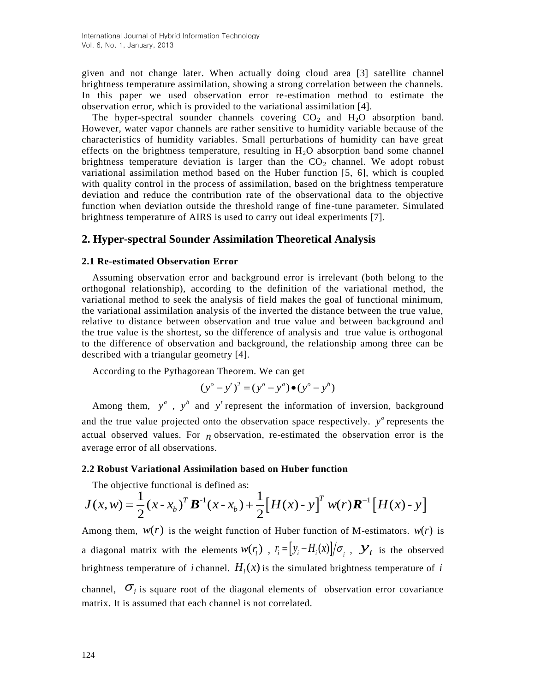given and not change later. When actually doing cloud area [3] satellite channel brightness temperature assimilation, showing a strong correlation between the channels. In this paper we used observation error re-estimation method to estimate the observation error, which is provided to the variational assimilation [4].

The hyper-spectral sounder channels covering  $CO<sub>2</sub>$  and  $H<sub>2</sub>O$  absorption band. However, water vapor channels are rather sensitive to humidity variable because of the characteristics of humidity variables. Small perturbations of humidity can have great effects on the brightness temperature, resulting in  $H<sub>2</sub>O$  absorption band some channel brightness temperature deviation is larger than the  $CO<sub>2</sub>$  channel. We adopt robust variational assimilation method based on the Huber function [5, 6], which is coupled with quality control in the process of assimilation, based on the brightness temperature deviation and reduce the contribution rate of the observational data to the objective function when deviation outside the threshold range of fine-tune parameter. Simulated brightness temperature of AIRS is used to carry out ideal experiments [7].

### **2. Hyper-spectral Sounder Assimilation Theoretical Analysis**

#### **2.1 Re-estimated Observation Error**

Assuming observation error and background error is irrelevant (both belong to the orthogonal relationship), according to the definition of the variational method, the variational method to seek the analysis of field makes the goal of functional minimum, the variational assimilation analysis of the inverted the distance between the true value, relative to distance between observation and true value and between background and the true value is the shortest, so the difference of analysis and true value is orthogonal to the difference of observation and background, the relationship among three can be described with a triangular geometry [4].

According to the Pythagorean Theorem. We can get<br>  $(y^o - y^t)^2 = (y^o - y^a) \bullet (y^o - y^b)$ 

$$
(y^{o} - y^{t})^{2} = (y^{o} - y^{a}) \bullet (y^{o} - y^{b})
$$

Among them,  $y^a$ ,  $y^b$  and  $y^t$  represent the information of inversion, background and the true value projected onto the observation space respectively.  $y^{\circ}$  represents the actual observed values. For  $n$  observation, re-estimated the observation error is the average error of all observations.  $(y^{o} - y^{t})^{2} = (y^{o} - y^{a}) \bullet (y^{o} - y^{b})$ <br>them,  $y^{a}$ ,  $y^{b}$  and  $y^{t}$  represent the information of inv<br>ne value projected onto the observation space respectivel<br>erved values. For *n* observation, re-estimated the obser<br>fo

#### **2.2 Robust Variational Assimilation based on Huber function**

The objective functional is defined as:

2.2 Robust Variational Assimilation based on Huber function  
\nThe objective functional is defined as:  
\n
$$
J(x, w) = \frac{1}{2} (x - x_b)^T \boldsymbol{B}^{-1} (x - x_b) + \frac{1}{2} [H(x) - y]^T w(r) \boldsymbol{R}^{-1} [H(x) - y]
$$
\nAnance them,  $W(x)$  is the weight function of Uther function of M estimators,  $W(x)$ .

Among them,  $w(r)$  is the weight function of Huber function of M-estimators.  $w(r)$  is a diagonal matrix with the elements  $w(r_i)$ ,  $r_i = [y_i - H_i(x)] / \sigma_i$ ,  $y_i$  is the observed brightness temperature of *i* channel.  $H_i(x)$  is the simulated brightness temperature of *i* 

channel,  $\sigma_i$  is square root of the diagonal elements of observation error covariance matrix. It is assumed that each channel is not correlated.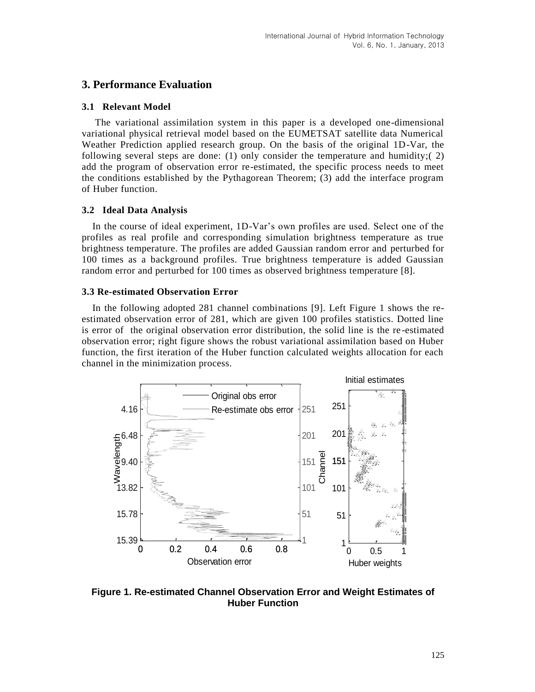## **3. Performance Evaluation**

### **3.1 Relevant Model**

The variational assimilation system in this paper is a developed one-dimensional variational physical retrieval model based on the EUMETSAT satellite data Numerical Weather Prediction applied research group. On the basis of the original 1D-Var, the following several steps are done: (1) only consider the temperature and humidity;( 2) add the program of observation error re-estimated, the specific process needs to meet the conditions established by the Pythagorean Theorem; (3) add the interface program of Huber function.

### **3.2 Ideal Data Analysis**

In the course of ideal experiment, 1D-Var's own profiles are used. Select one of the profiles as real profile and corresponding simulation brightness temperature as true brightness temperature. The profiles are added Gaussian random error and perturbed for 100 times as a background profiles. True brightness temperature is added Gaussian random error and perturbed for 100 times as observed brightness temperature [8].

### **3.3 Re-estimated Observation Error**

In the following adopted 281 channel combinations [9]. Left Figure 1 shows the reestimated observation error of 281, which are given 100 profiles statistics. Dotted line is error of the original observation error distribution, the solid line is the re -estimated observation error; right figure shows the robust variational assimilation based on Huber function, the first iteration of the Huber function calculated weights allocation for each channel in the minimization process.



**Figure 1. Re-estimated Channel Observation Error and Weight Estimates of Huber Function**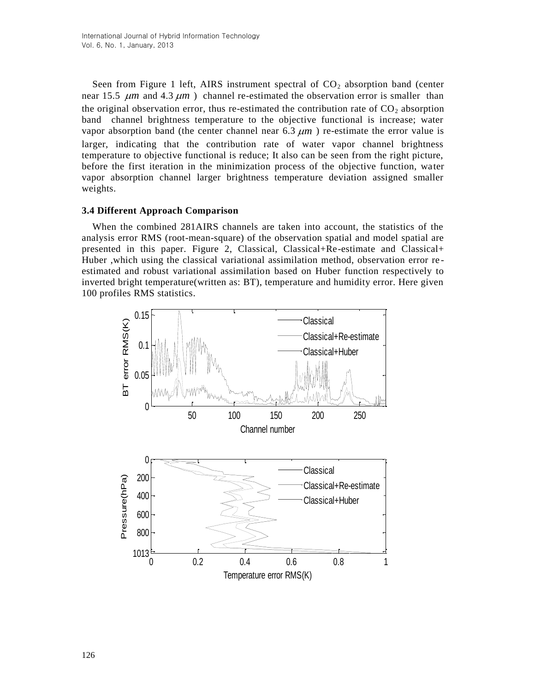Seen from Figure 1 left, AIRS instrument spectral of  $CO<sub>2</sub>$  absorption band (center near 15.5  $\mu$ m and 4.3  $\mu$ m) channel re-estimated the observation error is smaller than the original observation error, thus re-estimated the contribution rate of  $CO<sub>2</sub>$  absorption band channel brightness temperature to the objective functional is increase; water vapor absorption band (the center channel near  $6.3 \ \mu m$ ) re-estimate the error value is larger, indicating that the contribution rate of water vapor channel brightness temperature to objective functional is reduce; It also can be seen from the right picture, before the first iteration in the minimization process of the objective function, wa ter vapor absorption channel larger brightness temperature deviation assigned smaller weights.

#### **3.4 Different Approach Comparison**

When the combined 281AIRS channels are taken into account, the statistics of the analysis error RMS (root-mean-square) of the observation spatial and model spatial are presented in this paper. Figure 2, Classical, Classical+Re-estimate and Classical+ Huber ,which using the classical variational assimilation method, observation error re estimated and robust variational assimilation based on Huber function respectively to inverted bright temperature(written as: BT), temperature and humidity error. Here given 100 profiles RMS statistics.

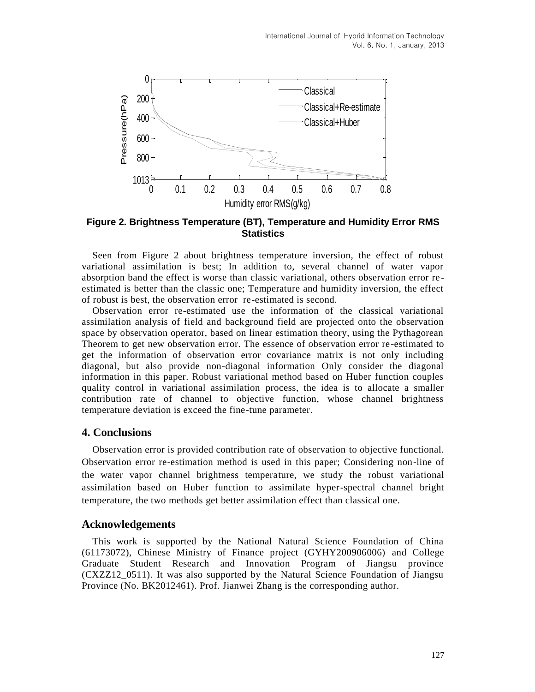

**Figure 2. Brightness Temperature (BT), Temperature and Humidity Error RMS Statistics**

Seen from Figure 2 about brightness temperature inversion, the effect of robust variational assimilation is best; In addition to, several channel of water vapor absorption band the effect is worse than classic variational, others observation error re estimated is better than the classic one; Temperature and humidity inversion, the effect of robust is best, the observation error re-estimated is second.

Observation error re-estimated use the information of the classical variational assimilation analysis of field and background field are projected onto the observation space by observation operator, based on linear estimation theory, using the Pythagorean Theorem to get new observation error. The essence of observation error re -estimated to get the information of observation error covariance matrix is not only including diagonal, but also provide non-diagonal information Only consider the diagonal information in this paper. Robust variational method based on Huber function couples quality control in variational assimilation process, the idea is to allocate a smaller contribution rate of channel to objective function, whose channel brightness temperature deviation is exceed the fine-tune parameter.

## **4. Conclusions**

Observation error is provided contribution rate of observation to objective functional. Observation error re-estimation method is used in this paper; Considering non-line of the water vapor channel brightness temperature, we study the robust variational assimilation based on Huber function to assimilate hyper-spectral channel bright temperature, the two methods get better assimilation effect than classical one.

### **Acknowledgements**

This work is supported by the National Natural Science Foundation of China (61173072), Chinese Ministry of Finance project (GYHY200906006) and College Graduate Student Research and Innovation Program of Jiangsu province (CXZZ12\_0511). It was also supported by the Natural Science Foundation of Jiangsu Province (No. BK2012461). Prof. Jianwei Zhang is the corresponding author.